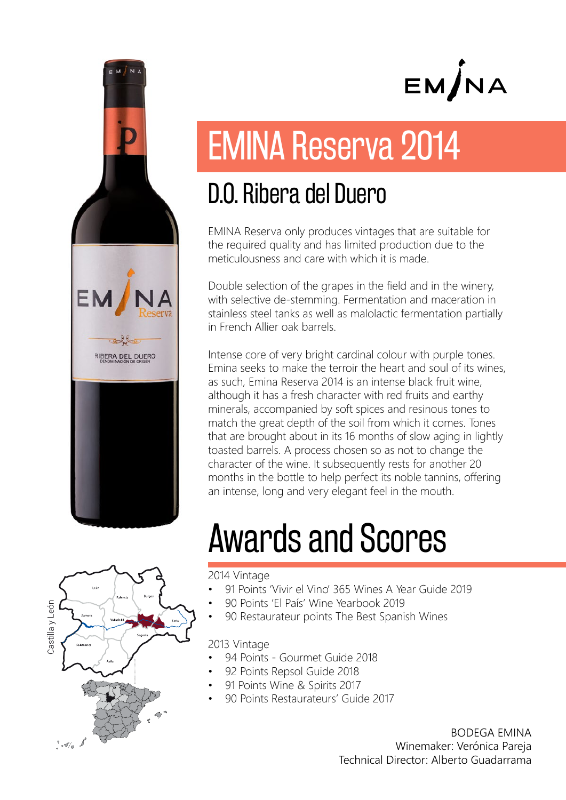

EM/NA

# EMINA Reserva 2014

### D.O. Ribera del Duero

EMINA Reserva only produces vintages that are suitable for the required quality and has limited production due to the meticulousness and care with which it is made.

Double selection of the grapes in the field and in the winery, with selective de-stemming. Fermentation and maceration in stainless steel tanks as well as malolactic fermentation partially in French Allier oak barrels.

Intense core of very bright cardinal colour with purple tones. Emina seeks to make the terroir the heart and soul of its wines, as such, Emina Reserva 2014 is an intense black fruit wine, although it has a fresh character with red fruits and earthy minerals, accompanied by soft spices and resinous tones to match the great depth of the soil from which it comes. Tones that are brought about in its 16 months of slow aging in lightly toasted barrels. A process chosen so as not to change the character of the wine. It subsequently rests for another 20 months in the bottle to help perfect its noble tannins, offering an intense, long and very elegant feel in the mouth.

# Awards and Scores

#### 2014 Vintage

- 91 Points 'Vivir el Vino' 365 Wines A Year Guide 2019
- 90 Points 'El País' Wine Yearbook 2019
- 90 Restaurateur points The Best Spanish Wines

### 2013 Vintage

- 94 Points Gourmet Guide 2018
- 92 Points Repsol Guide 2018
- 91 Points Wine & Spirits 2017
- 90 Points Restaurateurs' Guide 2017

BODEGA EMINA Winemaker: Verónica Pareja Technical Director: Alberto Guadarrama